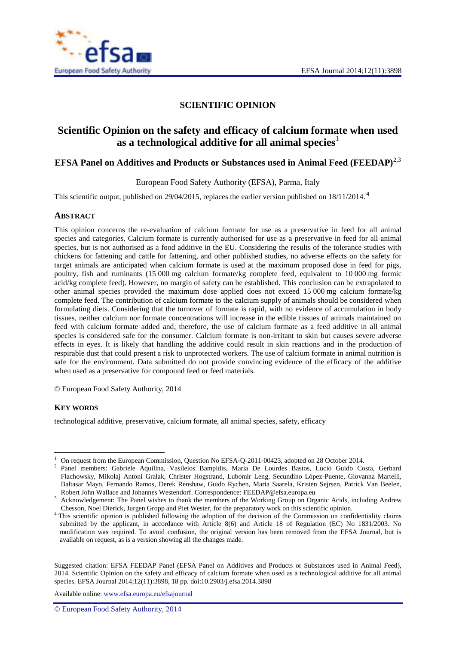

# **SCIENTIFIC OPINION**

# **Scientific Opinion on the safety and efficacy of calcium formate when used as a technological additive for all animal species**<sup>1</sup>

#### **EFSA Panel on Additives and Products or Substances used in Animal Feed (FEEDAP)**<sup>2,3</sup>

#### European Food Safety Authority (EFSA), Parma, Italy

<span id="page-0-0"></span>This scientific output, published on 29/04/2015, replaces the earlier version published on 18/11/2014.

#### **ABSTRACT**

This opinion concerns the re-evaluation of calcium formate for use as a preservative in feed for all animal species and categories. Calcium formate is currently authorised for use as a preservative in feed for all animal species, but is not authorised as a food additive in the EU. Considering the results of the tolerance studies with chickens for fattening and cattle for fattening, and other published studies, no adverse effects on the safety for target animals are anticipated when calcium formate is used at the maximum proposed dose in feed for pigs, poultry, fish and ruminants (15 000 mg calcium formate/kg complete feed, equivalent to 10 000 mg formic acid/kg complete feed). However, no margin of safety can be established. This conclusion can be extrapolated to other animal species provided the maximum dose applied does not exceed 15 000 mg calcium formate/kg complete feed. The contribution of calcium formate to the calcium supply of animals should be considered when formulating diets. Considering that the turnover of formate is rapid, with no evidence of accumulation in body tissues, neither calcium nor formate concentrations will increase in the edible tissues of animals maintained on feed with calcium formate added and, therefore, the use of calcium formate as a feed additive in all animal species is considered safe for the consumer. Calcium formate is non-irritant to skin but causes severe adverse effects in eyes. It is likely that handling the additive could result in skin reactions and in the production of respirable dust that could present a risk to unprotected workers. The use of calcium formate in animal nutrition is safe for the environment. Data submitted do not provide convincing evidence of the efficacy of the additive when used as a preservative for compound feed or feed materials.

© European Food Safety Authority, 2014

#### **KEY WORDS**

l

technological additive, preservative, calcium formate, all animal species, safety, efficacy

Suggested citation: EFSA FEEDAP Panel (EFSA Panel on Additives and Products or Substances used in Animal Feed), 2014. Scientific Opinion on the safety and efficacy of calcium formate when used as a technological additive for all animal species. EFSA Journal 2014;12(11):3898, 18 pp. doi:10.2903/j.efsa.2014.3898

Available online[: www.efsa.europa.eu/efsajournal](http://www.efsa.europa.eu/efsajournal)

<sup>1</sup> On request from the European Commission, Question No EFSA-Q-2011-00423, adopted on 28 October 2014.

<sup>2</sup> Panel members: Gabriele Aquilina, Vasileios Bampidis, Maria De Lourdes Bastos, Lucio Guido Costa, Gerhard Flachowsky, Mikolaj Antoni Gralak, Christer Hogstrand, Lubomir Leng, Secundino López-Puente, Giovanna Martelli, Baltasar Mayo, Fernando Ramos, Derek Renshaw, Guido Rychen, Maria Saarela, Kristen Sejrsen, Patrick Van Beelen, Robert John Wallace and Johannes Westendorf. Correspondence: FEEDAP@efsa.europa.eu

<sup>3</sup> Acknowledgement: The Panel wishes to thank the members of the Working Group on Organic Acids, including Andrew Chesson, Noel Dierick, Jurgen Gropp and Piet Wester, for the preparatory work on this scientific opinion.

<sup>4</sup> This scientific opinion is published following the adoption of the decision of the Commission on confidentiality claims submitted by the applicant, in accordance with Article 8(6) and Article 18 of Regulation (EC) No 1831/2003. No modification was required. To avoid confusion, the original version has been removed from the EFSA Journal, but is available on request, as is a version showing all the changes made.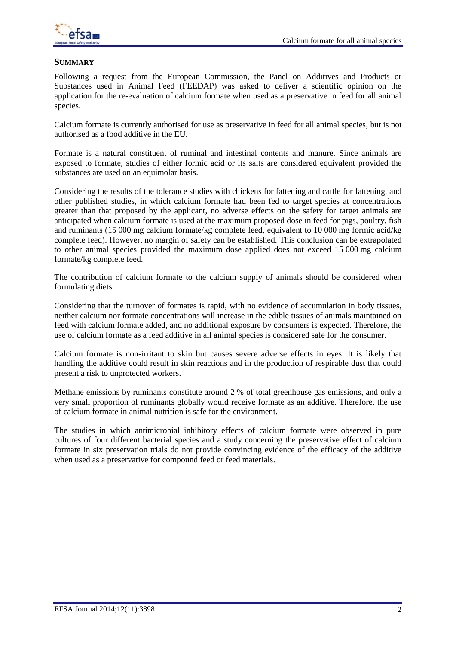

#### <span id="page-1-0"></span>**SUMMARY**

Following a request from the European Commission, the Panel on Additives and Products or Substances used in Animal Feed (FEEDAP) was asked to deliver a scientific opinion on the application for the re-evaluation of calcium formate when used as a preservative in feed for all animal species.

Calcium formate is currently authorised for use as preservative in feed for all animal species, but is not authorised as a food additive in the EU.

Formate is a natural constituent of ruminal and intestinal contents and manure. Since animals are exposed to formate, studies of either formic acid or its salts are considered equivalent provided the substances are used on an equimolar basis.

Considering the results of the tolerance studies with chickens for fattening and cattle for fattening, and other published studies, in which calcium formate had been fed to target species at concentrations greater than that proposed by the applicant, no adverse effects on the safety for target animals are anticipated when calcium formate is used at the maximum proposed dose in feed for pigs, poultry, fish and ruminants (15 000 mg calcium formate/kg complete feed, equivalent to 10 000 mg formic acid/kg complete feed). However, no margin of safety can be established. This conclusion can be extrapolated to other animal species provided the maximum dose applied does not exceed 15 000 mg calcium formate/kg complete feed.

The contribution of calcium formate to the calcium supply of animals should be considered when formulating diets.

Considering that the turnover of formates is rapid, with no evidence of accumulation in body tissues, neither calcium nor formate concentrations will increase in the edible tissues of animals maintained on feed with calcium formate added, and no additional exposure by consumers is expected. Therefore, the use of calcium formate as a feed additive in all animal species is considered safe for the consumer.

Calcium formate is non-irritant to skin but causes severe adverse effects in eyes. It is likely that handling the additive could result in skin reactions and in the production of respirable dust that could present a risk to unprotected workers.

Methane emissions by ruminants constitute around 2 % of total greenhouse gas emissions, and only a very small proportion of ruminants globally would receive formate as an additive. Therefore, the use of calcium formate in animal nutrition is safe for the environment.

The studies in which antimicrobial inhibitory effects of calcium formate were observed in pure cultures of four different bacterial species and a study concerning the preservative effect of calcium formate in six preservation trials do not provide convincing evidence of the efficacy of the additive when used as a preservative for compound feed or feed materials.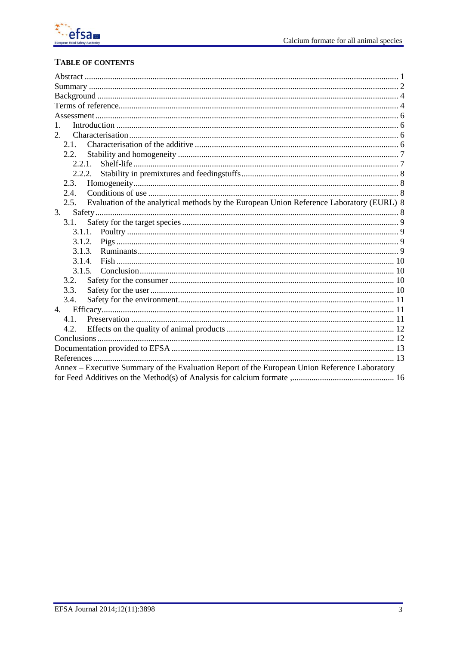

# TABLE OF CONTENTS

| $\mathbf{1}$ .                                                                                   |  |  |  |  |  |  |
|--------------------------------------------------------------------------------------------------|--|--|--|--|--|--|
| $2^{\circ}$                                                                                      |  |  |  |  |  |  |
| $2.1$ .                                                                                          |  |  |  |  |  |  |
| 2.2.                                                                                             |  |  |  |  |  |  |
| 2.2.1.                                                                                           |  |  |  |  |  |  |
| 2.2.2.                                                                                           |  |  |  |  |  |  |
| 2.3.                                                                                             |  |  |  |  |  |  |
| 2.4.                                                                                             |  |  |  |  |  |  |
| Evaluation of the analytical methods by the European Union Reference Laboratory (EURL) 8<br>2.5. |  |  |  |  |  |  |
| 3.                                                                                               |  |  |  |  |  |  |
| 3.1.                                                                                             |  |  |  |  |  |  |
| 3.1.1.                                                                                           |  |  |  |  |  |  |
| 3.1.2.                                                                                           |  |  |  |  |  |  |
| 3.1.3.                                                                                           |  |  |  |  |  |  |
| 3.1.4.                                                                                           |  |  |  |  |  |  |
| 3.1.5.                                                                                           |  |  |  |  |  |  |
| 3.2.                                                                                             |  |  |  |  |  |  |
| 3.3.                                                                                             |  |  |  |  |  |  |
| 3.4.                                                                                             |  |  |  |  |  |  |
|                                                                                                  |  |  |  |  |  |  |
| 4.1.                                                                                             |  |  |  |  |  |  |
| 4.2.                                                                                             |  |  |  |  |  |  |
|                                                                                                  |  |  |  |  |  |  |
|                                                                                                  |  |  |  |  |  |  |
|                                                                                                  |  |  |  |  |  |  |
| Annex - Executive Summary of the Evaluation Report of the European Union Reference Laboratory    |  |  |  |  |  |  |
|                                                                                                  |  |  |  |  |  |  |
|                                                                                                  |  |  |  |  |  |  |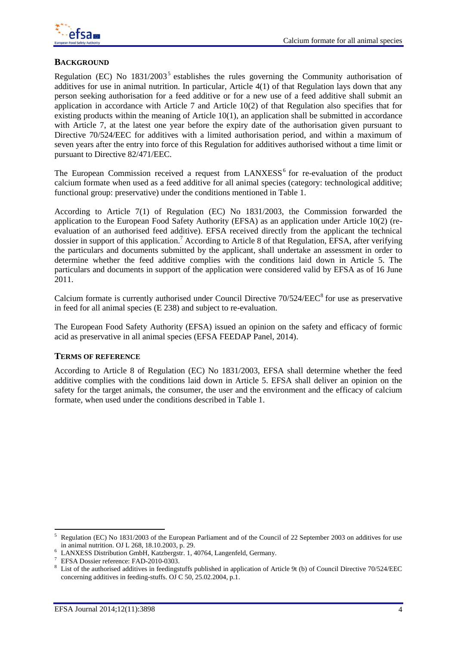

# <span id="page-3-0"></span>**BACKGROUND**

Regulation (EC) No  $1831/2003^5$  establishes the rules governing the Community authorisation of additives for use in animal nutrition. In particular, Article 4(1) of that Regulation lays down that any person seeking authorisation for a feed additive or for a new use of a feed additive shall submit an application in accordance with Article 7 and Article 10(2) of that Regulation also specifies that for existing products within the meaning of Article 10(1), an application shall be submitted in accordance with Article 7, at the latest one year before the expiry date of the authorisation given pursuant to Directive 70/524/EEC for additives with a limited authorisation period, and within a maximum of seven years after the entry into force of this Regulation for additives authorised without a time limit or pursuant to Directive 82/471/EEC.

The European Commission received a request from  $LANXESS^6$  for re-evaluation of the product calcium formate when used as a feed additive for all animal species (category: technological additive; functional group: preservative) under the conditions mentioned in Table 1.

According to Article 7(1) of Regulation (EC) No 1831/2003, the Commission forwarded the application to the European Food Safety Authority (EFSA) as an application under Article 10(2) (reevaluation of an authorised feed additive). EFSA received directly from the applicant the technical dossier in support of this application.<sup>7</sup> According to Article 8 of that Regulation, EFSA, after verifying the particulars and documents submitted by the applicant, shall undertake an assessment in order to determine whether the feed additive complies with the conditions laid down in Article 5. The particulars and documents in support of the application were considered valid by EFSA as of 16 June 2011.

Calcium formate is currently authorised under Council Directive  $70/524/EEC<sup>8</sup>$  for use as preservative in feed for all animal species (E 238) and subject to re-evaluation.

The European Food Safety Authority (EFSA) issued an opinion on the safety and efficacy of formic acid as preservative in all animal species (EFSA FEEDAP Panel, 2014).

# <span id="page-3-1"></span>**TERMS OF REFERENCE**

According to Article 8 of Regulation (EC) No 1831/2003, EFSA shall determine whether the feed additive complies with the conditions laid down in Article 5. EFSA shall deliver an opinion on the safety for the target animals, the consumer, the user and the environment and the efficacy of calcium formate, when used under the conditions described in Table 1.

<sup>5</sup> Regulation (EC) No 1831/2003 of the European Parliament and of the Council of 22 September 2003 on additives for use in animal nutrition. OJ L 268, 18.10.2003, p. 29.

<sup>6</sup> LANXESS Distribution GmbH, Katzbergstr. 1, 40764, Langenfeld, Germany.

<sup>7</sup> EFSA Dossier reference: FAD-2010-0303.

<sup>8</sup> List of the authorised additives in feedingstuffs published in application of Article 9t (b) of Council Directive 70/524/EEC concerning additives in feeding-stuffs. OJ C 50, 25.02.2004, p.1.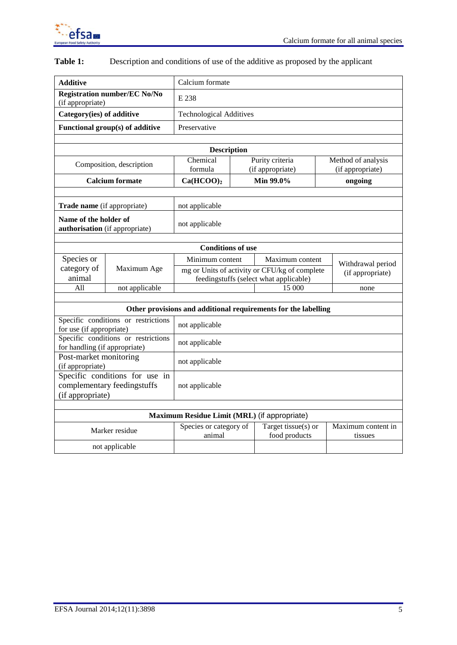

| <b>Additive</b>                                                      |                                 | Calcium formate                                                                                                              |                                     |                                      |                                        |  |  |
|----------------------------------------------------------------------|---------------------------------|------------------------------------------------------------------------------------------------------------------------------|-------------------------------------|--------------------------------------|----------------------------------------|--|--|
| <b>Registration number/EC No/No</b><br>(if appropriate)              |                                 | E 238                                                                                                                        |                                     |                                      |                                        |  |  |
| Category(ies) of additive                                            |                                 | <b>Technological Additives</b>                                                                                               |                                     |                                      |                                        |  |  |
|                                                                      | Functional group(s) of additive | Preservative                                                                                                                 |                                     |                                      |                                        |  |  |
|                                                                      |                                 |                                                                                                                              |                                     |                                      |                                        |  |  |
| <b>Description</b>                                                   |                                 |                                                                                                                              |                                     |                                      |                                        |  |  |
| Composition, description                                             |                                 | Chemical<br>formula                                                                                                          | Purity criteria<br>(if appropriate) |                                      | Method of analysis<br>(if appropriate) |  |  |
| <b>Calcium</b> formate                                               |                                 | Ca(HCOO) <sub>2</sub>                                                                                                        |                                     | Min 99.0%                            | ongoing                                |  |  |
|                                                                      |                                 |                                                                                                                              |                                     |                                      |                                        |  |  |
| Trade name (if appropriate)                                          |                                 | not applicable                                                                                                               |                                     |                                      |                                        |  |  |
| Name of the holder of<br>authorisation (if appropriate)              |                                 | not applicable                                                                                                               |                                     |                                      |                                        |  |  |
|                                                                      |                                 |                                                                                                                              |                                     |                                      |                                        |  |  |
| <b>Conditions of use</b>                                             |                                 |                                                                                                                              |                                     |                                      |                                        |  |  |
| Species or                                                           |                                 | Minimum content<br>Maximum content<br>Withdrawal period<br>mg or Units of activity or CFU/kg of complete<br>(if appropriate) |                                     |                                      |                                        |  |  |
| category of                                                          | Maximum Age                     |                                                                                                                              |                                     |                                      |                                        |  |  |
| animal                                                               |                                 | feedingstuffs (select what applicable)                                                                                       |                                     |                                      |                                        |  |  |
| A11                                                                  | not applicable                  | 15 000                                                                                                                       |                                     |                                      | none                                   |  |  |
|                                                                      |                                 |                                                                                                                              |                                     |                                      |                                        |  |  |
| Other provisions and additional requirements for the labelling       |                                 |                                                                                                                              |                                     |                                      |                                        |  |  |
| Specific conditions or restrictions<br>for use (if appropriate)      |                                 | not applicable                                                                                                               |                                     |                                      |                                        |  |  |
| Specific conditions or restrictions<br>for handling (if appropriate) |                                 | not applicable                                                                                                               |                                     |                                      |                                        |  |  |
| Post-market monitoring<br>(if appropriate)                           |                                 | not applicable                                                                                                               |                                     |                                      |                                        |  |  |
|                                                                      | Specific conditions for use in  |                                                                                                                              |                                     |                                      |                                        |  |  |
|                                                                      | complementary feedingstuffs     | not applicable                                                                                                               |                                     |                                      |                                        |  |  |
| (if appropriate)                                                     |                                 |                                                                                                                              |                                     |                                      |                                        |  |  |
|                                                                      |                                 |                                                                                                                              |                                     |                                      |                                        |  |  |
| Maximum Residue Limit (MRL) (if appropriate)                         |                                 |                                                                                                                              |                                     |                                      |                                        |  |  |
| Marker residue                                                       |                                 | Species or category of<br>animal                                                                                             |                                     | Target tissue(s) or<br>food products | Maximum content in<br>tissues          |  |  |
|                                                                      | not applicable                  |                                                                                                                              |                                     |                                      |                                        |  |  |
|                                                                      |                                 |                                                                                                                              |                                     |                                      |                                        |  |  |

# **Table 1:** Description and conditions of use of the additive as proposed by the applicant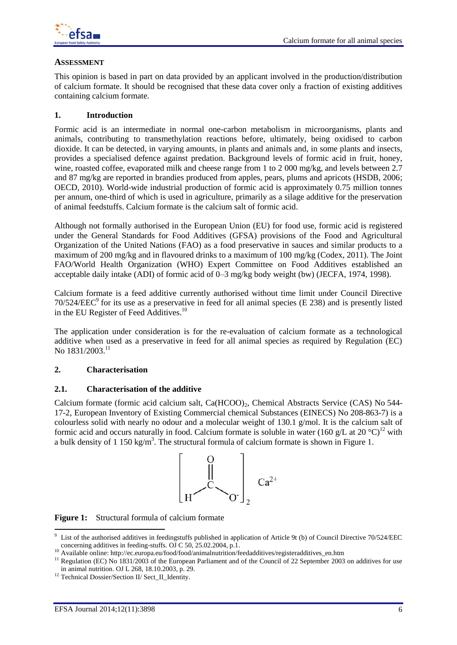

#### <span id="page-5-0"></span>**ASSESSMENT**

This opinion is based in part on data provided by an applicant involved in the production/distribution of calcium formate. It should be recognised that these data cover only a fraction of existing additives containing calcium formate.

#### <span id="page-5-1"></span>**1. Introduction**

Formic acid is an intermediate in normal one-carbon metabolism in microorganisms, plants and animals, contributing to transmethylation reactions before, ultimately, being oxidised to carbon dioxide. It can be detected, in varying amounts, in plants and animals and, in some plants and insects, provides a specialised defence against predation. Background levels of formic acid in fruit, honey, wine, roasted coffee, evaporated milk and cheese range from 1 to 2 000 mg/kg, and levels between 2.7 and 87 mg/kg are reported in brandies produced from apples, pears, plums and apricots (HSDB, 2006; OECD, 2010). World-wide industrial production of formic acid is approximately 0.75 million tonnes per annum, one-third of which is used in agriculture, primarily as a silage additive for the preservation of animal feedstuffs. Calcium formate is the calcium salt of formic acid.

Although not formally authorised in the European Union (EU) for food use, formic acid is registered under the General Standards for Food Additives (GFSA) provisions of the Food and Agricultural Organization of the United Nations (FAO) as a food preservative in sauces and similar products to a maximum of 200 mg/kg and in flavoured drinks to a maximum of 100 mg/kg (Codex, 2011). The Joint FAO/World Health Organization (WHO) Expert Committee on Food Additives established an acceptable daily intake (ADI) of formic acid of 0–3 mg/kg body weight (bw) (JECFA, 1974, 1998).

Calcium formate is a feed additive currently authorised without time limit under Council Directive  $70/524/EEC<sup>9</sup>$  for its use as a preservative in feed for all animal species (E 238) and is presently listed in the EU Register of Feed Additives.<sup>10</sup>

The application under consideration is for the re-evaluation of calcium formate as a technological additive when used as a preservative in feed for all animal species as required by Regulation (EC) No 1831/2003.<sup>11</sup>

#### <span id="page-5-2"></span>**2. Characterisation**

#### <span id="page-5-3"></span>**2.1. Characterisation of the additive**

Calcium formate (formic acid calcium salt, Ca(HCOO)<sub>2</sub>, Chemical Abstracts Service (CAS) No 544-17-2, European Inventory of Existing Commercial chemical Substances (EINECS) No 208-863-7) is a colourless solid with nearly no odour and a molecular weight of 130.1 g/mol. It is the calcium salt of formic acid and occurs naturally in food. Calcium formate is soluble in water (160 g/L at 20 °C)<sup>12</sup> with a bulk density of 1 150 kg/m<sup>3</sup>. The structural formula of calcium formate is shown in Figure 1.



<sup>&</sup>lt;sup>9</sup> List of the authorised additives in feedingstuffs published in application of Article 9t (b) of Council Directive 70/524/EEC concerning additives in feeding-stuffs. OJ C 50, 25.02.2004, p.1.

<sup>&</sup>lt;sup>10</sup> Available online: [http://ec.europa.eu/food/food/animalnutrition/feedadditives/registeradditives\\_en.htm](http://ec.europa.eu/food/food/animalnutrition/feedadditives/registeradditives_en.htm)

<sup>&</sup>lt;sup>11</sup> Regulation (EC) No 1831/2003 of the European Parliament and of the Council of 22 September 2003 on additives for use in animal nutrition. OJ L 268, 18.10.2003, p. 29.

<sup>&</sup>lt;sup>12</sup> Technical Dossier/Section II/ Sect\_II\_Identity.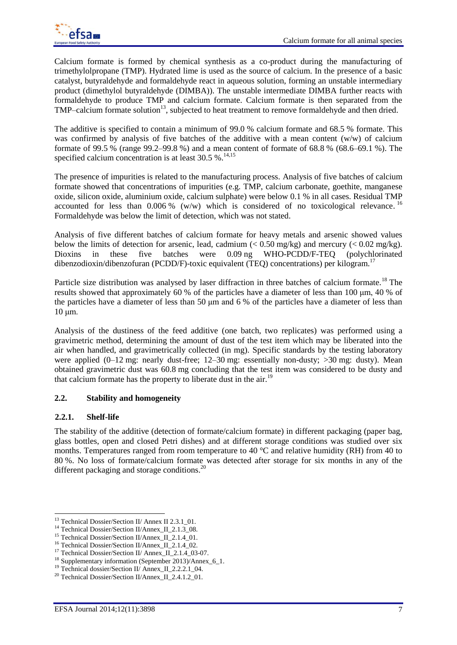Calcium formate is formed by chemical synthesis as a co-product during the manufacturing of trimethylolpropane (TMP). Hydrated lime is used as the source of calcium. In the presence of a basic catalyst, butyraldehyde and formaldehyde react in aqueous solution, forming an unstable intermediary product (dimethylol butyraldehyde (DIMBA)). The unstable intermediate DIMBA further reacts with formaldehyde to produce TMP and calcium formate. Calcium formate is then separated from the TMP–calcium formate solution<sup>13</sup>, subjected to heat treatment to remove formaldehyde and then dried.

The additive is specified to contain a minimum of 99.0 % calcium formate and 68.5 % formate. This was confirmed by analysis of five batches of the additive with a mean content (w/w) of calcium formate of 99.5 % (range 99.2–99.8 %) and a mean content of formate of 68.8 % (68.6–69.1 %). The specified calcium concentration is at least  $30.5$  %.<sup>14,15</sup>

The presence of impurities is related to the manufacturing process. Analysis of five batches of calcium formate showed that concentrations of impurities (e.g. TMP, calcium carbonate, goethite, manganese oxide, silicon oxide, aluminium oxide, calcium sulphate) were below 0.1 % in all cases. Residual TMP accounted for less than  $0.006\%$  (w/w) which is considered of no toxicological relevance. <sup>16</sup> Formaldehyde was below the limit of detection, which was not stated.

Analysis of five different batches of calcium formate for heavy metals and arsenic showed values below the limits of detection for arsenic, lead, cadmium  $\langle \langle 0.50 \text{ mg/kg} \rangle$  and mercury  $\langle \langle 0.02 \text{ mg/kg} \rangle$ . Dioxins in these five batches were 0.09 ng WHO-PCDD/F-TEQ (polychlorinated dibenzodioxin/dibenzofuran (PCDD/F)-toxic equivalent (TEQ) concentrations) per kilogram.<sup>17</sup>

Particle size distribution was analysed by laser diffraction in three batches of calcium formate.<sup>18</sup> The results showed that approximately 60 % of the particles have a diameter of less than 100 μm, 40 % of the particles have a diameter of less than 50 μm and 6 % of the particles have a diameter of less than 10 μm.

Analysis of the dustiness of the feed additive (one batch, two replicates) was performed using a gravimetric method, determining the amount of dust of the test item which may be liberated into the air when handled, and gravimetrically collected (in mg). Specific standards by the testing laboratory were applied (0–12 mg: nearly dust-free; 12–30 mg: essentially non-dusty; >30 mg: dusty). Mean obtained gravimetric dust was 60.8 mg concluding that the test item was considered to be dusty and that calcium formate has the property to liberate dust in the air.<sup>19</sup>

# <span id="page-6-0"></span>**2.2. Stability and homogeneity**

# <span id="page-6-1"></span>**2.2.1. Shelf-life**

The stability of the additive (detection of formate/calcium formate) in different packaging (paper bag, glass bottles, open and closed Petri dishes) and at different storage conditions was studied over six months. Temperatures ranged from room temperature to 40 °C and relative humidity (RH) from 40 to 80 %. No loss of formate/calcium formate was detected after storage for six months in any of the different packaging and storage conditions.<sup>20</sup>

 $\overline{a}$ <sup>13</sup> Technical Dossier/Section II/ Annex II 2.3.1\_01.

<sup>&</sup>lt;sup>14</sup> Technical Dossier/Section II/Annex\_II\_2.1.3\_08.

<sup>&</sup>lt;sup>15</sup> Technical Dossier/Section II/Annex\_II\_2.1.4\_01.

<sup>16</sup> Technical Dossier/Section II/Annex\_II\_2.1.4\_02.

<sup>&</sup>lt;sup>17</sup> Technical Dossier/Section II/ Annex\_II\_2.1.4\_03-07.

<sup>18</sup> Supplementary information (September 2013)/Annex\_6\_1.

<sup>&</sup>lt;sup>19</sup> Technical dossier/Section II/ Annex\_II\_2.2.2.1\_04.

<sup>&</sup>lt;sup>20</sup> Technical Dossier/Section II/Annex\_II\_2.4.1.2\_01.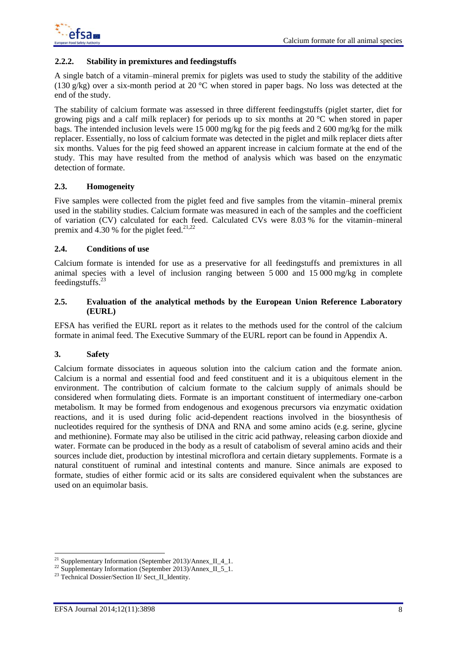#### <span id="page-7-0"></span>**2.2.2. Stability in premixtures and feedingstuffs**

A single batch of a vitamin–mineral premix for piglets was used to study the stability of the additive (130 g/kg) over a six-month period at 20 °C when stored in paper bags. No loss was detected at the end of the study.

The stability of calcium formate was assessed in three different feedingstuffs (piglet starter, diet for growing pigs and a calf milk replacer) for periods up to six months at 20 °C when stored in paper bags. The intended inclusion levels were 15 000 mg/kg for the pig feeds and 2 600 mg/kg for the milk replacer. Essentially, no loss of calcium formate was detected in the piglet and milk replacer diets after six months. Values for the pig feed showed an apparent increase in calcium formate at the end of the study. This may have resulted from the method of analysis which was based on the enzymatic detection of formate.

#### <span id="page-7-1"></span>**2.3. Homogeneity**

Five samples were collected from the piglet feed and five samples from the vitamin–mineral premix used in the stability studies. Calcium formate was measured in each of the samples and the coefficient of variation (CV) calculated for each feed. Calculated CVs were 8.03 % for the vitamin–mineral premix and 4.30 % for the piglet feed.<sup>21,22</sup>

#### <span id="page-7-2"></span>**2.4. Conditions of use**

Calcium formate is intended for use as a preservative for all feedingstuffs and premixtures in all animal species with a level of inclusion ranging between 5 000 and 15 000 mg/kg in complete feedingstuffs. $^{23}$ 

#### <span id="page-7-3"></span>**2.5. Evaluation of the analytical methods by the European Union Reference Laboratory (EURL)**

EFSA has verified the EURL report as it relates to the methods used for the control of the calcium formate in animal feed. The Executive Summary of the EURL report can be found in Appendix A.

#### <span id="page-7-4"></span>**3. Safety**

Calcium formate dissociates in aqueous solution into the calcium cation and the formate anion. Calcium is a normal and essential food and feed constituent and it is a ubiquitous element in the environment. The contribution of calcium formate to the calcium supply of animals should be considered when formulating diets. Formate is an important constituent of intermediary one-carbon metabolism. It may be formed from endogenous and exogenous precursors via enzymatic oxidation reactions, and it is used during folic acid-dependent reactions involved in the biosynthesis of nucleotides required for the synthesis of DNA and RNA and some amino acids (e.g. serine, glycine and methionine). Formate may also be utilised in the citric acid pathway, releasing carbon dioxide and water. Formate can be produced in the body as a result of catabolism of several amino acids and their sources include diet, production by intestinal microflora and certain dietary supplements. Formate is a natural constituent of ruminal and intestinal contents and manure. Since animals are exposed to formate, studies of either formic acid or its salts are considered equivalent when the substances are used on an equimolar basis.

<sup>&</sup>lt;sup>21</sup> Supplementary Information (September 2013)/Annex\_II\_4\_1.

<sup>22</sup> Supplementary Information (September 2013)/Annex\_II\_5\_1.

<sup>&</sup>lt;sup>23</sup> Technical Dossier/Section II/ Sect\_II\_Identity.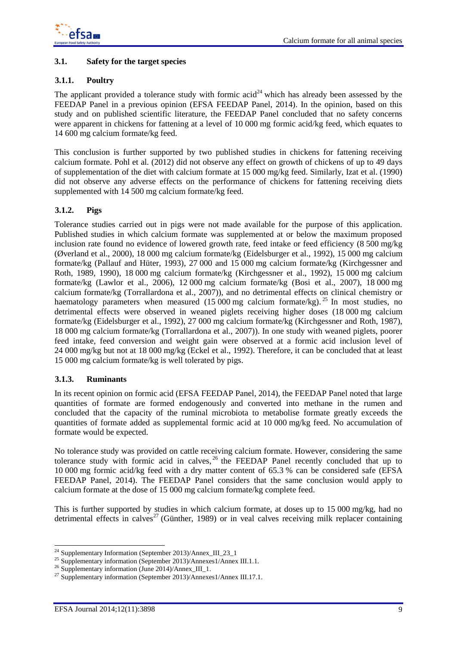

#### <span id="page-8-0"></span>**3.1. Safety for the target species**

#### <span id="page-8-1"></span>**3.1.1. Poultry**

The applicant provided a tolerance study with formic  $\text{acid}^{24}$  which has already been assessed by the FEEDAP Panel in a previous opinion (EFSA FEEDAP Panel, 2014). In the opinion, based on this study and on published scientific literature, the FEEDAP Panel concluded that no safety concerns were apparent in chickens for fattening at a level of 10 000 mg formic acid/kg feed, which equates to 14 600 mg calcium formate/kg feed.

This conclusion is further supported by two published studies in chickens for fattening receiving calcium formate. Pohl et al. (2012) did not observe any effect on growth of chickens of up to 49 days of supplementation of the diet with calcium formate at 15 000 mg/kg feed. Similarly, Izat et al. (1990) did not observe any adverse effects on the performance of chickens for fattening receiving diets supplemented with 14 500 mg calcium formate/kg feed.

# <span id="page-8-2"></span>**3.1.2. Pigs**

Tolerance studies carried out in pigs were not made available for the purpose of this application. Published studies in which calcium formate was supplemented at or below the maximum proposed inclusion rate found no evidence of lowered growth rate, feed intake or feed efficiency (8 500 mg/kg (Øverland et al., 2000), 18 000 mg calcium formate/kg (Eidelsburger et al., 1992), 15 000 mg calcium formate/kg (Pallauf and Hüter, 1993), 27 000 and 15 000 mg calcium formate/kg (Kirchgessner and Roth, 1989, 1990), 18 000 mg calcium formate/kg (Kirchgessner et al., 1992), 15 000 mg calcium formate/kg (Lawlor et al., 2006), 12 000 mg calcium formate/kg (Bosi et al., 2007), 18 000 mg calcium formate/kg (Torrallardona et al., 2007)), and no detrimental effects on clinical chemistry or haematology parameters when measured  $(15\,000 \text{ mg}$  calcium formate/kg).<sup>25</sup> In most studies, no detrimental effects were observed in weaned piglets receiving higher doses (18 000 mg calcium formate/kg (Eidelsburger et al., 1992), 27 000 mg calcium formate/kg (Kirchgessner and Roth, 1987), 18 000 mg calcium formate/kg (Torrallardona et al., 2007)). In one study with weaned piglets, poorer feed intake, feed conversion and weight gain were observed at a formic acid inclusion level of 24 000 mg/kg but not at 18 000 mg/kg (Eckel et al., 1992). Therefore, it can be concluded that at least 15 000 mg calcium formate/kg is well tolerated by pigs.

#### <span id="page-8-3"></span>**3.1.3. Ruminants**

In its recent opinion on formic acid (EFSA FEEDAP Panel, 2014), the FEEDAP Panel noted that large quantities of formate are formed endogenously and converted into methane in the rumen and concluded that the capacity of the ruminal microbiota to metabolise formate greatly exceeds the quantities of formate added as supplemental formic acid at 10 000 mg/kg feed. No accumulation of formate would be expected.

No tolerance study was provided on cattle receiving calcium formate. However, considering the same tolerance study with formic acid in calves,<sup>26</sup> the FEEDAP Panel recently concluded that up to 10 000 mg formic acid/kg feed with a dry matter content of 65.3 % can be considered safe (EFSA FEEDAP Panel, 2014). The FEEDAP Panel considers that the same conclusion would apply to calcium formate at the dose of 15 000 mg calcium formate/kg complete feed.

This is further supported by studies in which calcium formate, at doses up to 15 000 mg/kg, had no detrimental effects in calves<sup>27</sup> (Günther, 1989) or in veal calves receiving milk replacer containing

 $^{24}$  Supplementary Information (September 2013)/Annex\_III\_23\_1

<sup>&</sup>lt;sup>25</sup> Supplementary information (September 2013)/Annexes1/Annex III.1.1.

<sup>&</sup>lt;sup>26</sup> Supplementary information (June 2014)/Annex\_III\_1.

<sup>&</sup>lt;sup>27</sup> Supplementary information (September 2013)/Annexes1/Annex III.17.1.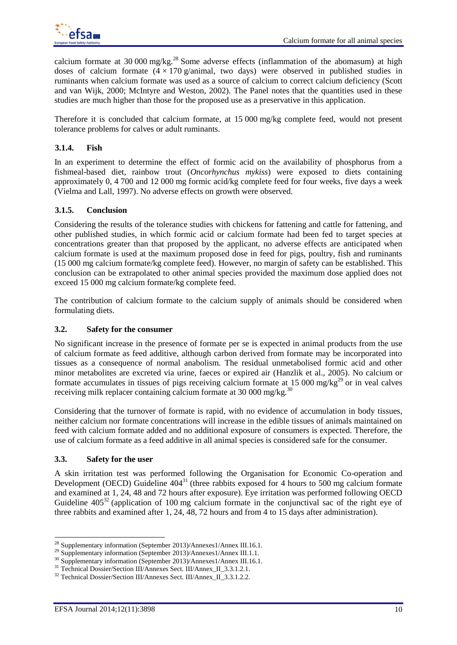calcium formate at 30 000 mg/kg.<sup>28</sup> Some adverse effects (inflammation of the abomasum) at high doses of calcium formate  $(4 \times 170 \text{ g/animal}$ , two days) were observed in published studies in ruminants when calcium formate was used as a source of calcium to correct calcium deficiency (Scott and van Wijk, 2000; McIntyre and Weston, 2002). The Panel notes that the quantities used in these studies are much higher than those for the proposed use as a preservative in this application.

Therefore it is concluded that calcium formate, at 15 000 mg/kg complete feed, would not present tolerance problems for calves or adult ruminants.

# <span id="page-9-0"></span>**3.1.4. Fish**

In an experiment to determine the effect of formic acid on the availability of phosphorus from a fishmeal-based diet, rainbow trout (*Oncorhynchus mykiss*) were exposed to diets containing approximately 0, 4 700 and 12 000 mg formic acid/kg complete feed for four weeks, five days a week (Vielma and Lall, 1997). No adverse effects on growth were observed.

# <span id="page-9-1"></span>**3.1.5. Conclusion**

Considering the results of the tolerance studies with chickens for fattening and cattle for fattening, and other published studies, in which formic acid or calcium formate had been fed to target species at concentrations greater than that proposed by the applicant, no adverse effects are anticipated when calcium formate is used at the maximum proposed dose in feed for pigs, poultry, fish and ruminants (15 000 mg calcium formate/kg complete feed). However, no margin of safety can be established. This conclusion can be extrapolated to other animal species provided the maximum dose applied does not exceed 15 000 mg calcium formate/kg complete feed.

The contribution of calcium formate to the calcium supply of animals should be considered when formulating diets.

# <span id="page-9-2"></span>**3.2. Safety for the consumer**

No significant increase in the presence of formate per se is expected in animal products from the use of calcium formate as feed additive, although carbon derived from formate may be incorporated into tissues as a consequence of normal anabolism. The residual unmetabolised formic acid and other minor metabolites are excreted via urine, faeces or expired air [\(Hanzlik](http://dmd.aspetjournals.org/search?author1=Robert+P.+Hanzlik&sortspec=date&submit=Submit) et al., 2005). No calcium or formate accumulates in tissues of pigs receiving calcium formate at 15 000 mg/kg<sup>29</sup> or in veal calves receiving milk replacer containing calcium formate at 30 000 mg/kg.<sup>30</sup>

Considering that the turnover of formate is rapid, with no evidence of accumulation in body tissues, neither calcium nor formate concentrations will increase in the edible tissues of animals maintained on feed with calcium formate added and no additional exposure of consumers is expected. Therefore, the use of calcium formate as a feed additive in all animal species is considered safe for the consumer.

# <span id="page-9-3"></span>**3.3. Safety for the user**

A skin irritation test was performed following the Organisation for Economic Co-operation and Development (OECD) Guideline  $404<sup>31</sup>$  (three rabbits exposed for 4 hours to 500 mg calcium formate and examined at 1, 24, 48 and 72 hours after exposure). Eye irritation was performed following OECD Guideline  $405^{32}$  (application of 100 mg calcium formate in the conjunctival sac of the right eye of three rabbits and examined after 1, 24, 48, 72 hours and from 4 to 15 days after administration).

 $^{28}$  Supplementary information (September 2013)/Annexes1/Annex III.16.1.

<sup>&</sup>lt;sup>29</sup> Supplementary information (September 2013)/Annexes1/Annex III.1.1.

<sup>&</sup>lt;sup>30</sup> Supplementary information (September 2013)/Annexes1/Annex III.16.1.

<sup>&</sup>lt;sup>31</sup> Technical Dossier/Section III/Annexes Sect. III/Annex\_II\_3.3.1.2.1.

<sup>32</sup> Technical Dossier/Section III/Annexes Sect. III/Annex\_II\_3.3.1.2.2.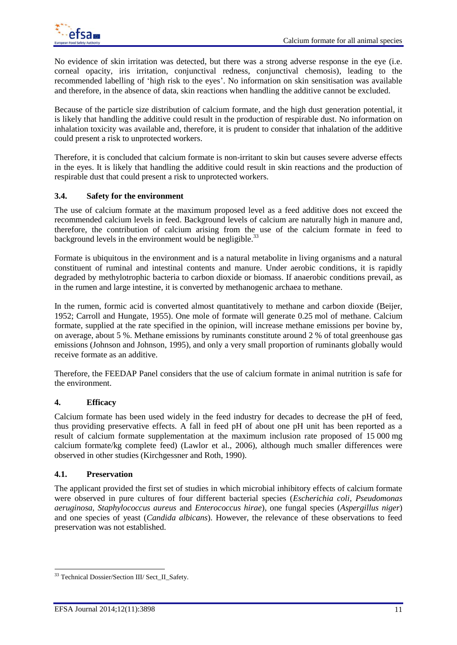No evidence of skin irritation was detected, but there was a strong adverse response in the eye (i.e. corneal opacity, iris irritation, conjunctival redness, conjunctival chemosis), leading to the recommended labelling of 'high risk to the eyes'. No information on skin sensitisation was available and therefore, in the absence of data, skin reactions when handling the additive cannot be excluded.

Because of the particle size distribution of calcium formate, and the high dust generation potential, it is likely that handling the additive could result in the production of respirable dust. No information on inhalation toxicity was available and, therefore, it is prudent to consider that inhalation of the additive could present a risk to unprotected workers.

Therefore, it is concluded that calcium formate is non-irritant to skin but causes severe adverse effects in the eyes. It is likely that handling the additive could result in skin reactions and the production of respirable dust that could present a risk to unprotected workers.

# <span id="page-10-0"></span>**3.4. Safety for the environment**

The use of calcium formate at the maximum proposed level as a feed additive does not exceed the recommended calcium levels in feed. Background levels of calcium are naturally high in manure and, therefore, the contribution of calcium arising from the use of the calcium formate in feed to background levels in the environment would be negligible.<sup>33</sup>

Formate is ubiquitous in the environment and is a natural metabolite in living organisms and a natural constituent of ruminal and intestinal contents and manure. Under aerobic conditions, it is rapidly degraded by methylotrophic bacteria to carbon dioxide or biomass. If anaerobic conditions prevail, as in the rumen and large intestine, it is converted by methanogenic archaea to methane.

In the rumen, formic acid is converted almost quantitatively to methane and carbon dioxide (Beijer, 1952; Carroll and Hungate, 1955). One mole of formate will generate 0.25 mol of methane. Calcium formate, supplied at the rate specified in the opinion, will increase methane emissions per bovine by, on average, about 5 %. Methane emissions by ruminants constitute around 2 % of total greenhouse gas emissions (Johnson and Johnson, 1995), and only a very small proportion of ruminants globally would receive formate as an additive.

Therefore, the FEEDAP Panel considers that the use of calcium formate in animal nutrition is safe for the environment.

# <span id="page-10-1"></span>**4. Efficacy**

Calcium formate has been used widely in the feed industry for decades to decrease the pH of feed, thus providing preservative effects. A fall in feed pH of about one pH unit has been reported as a result of calcium formate supplementation at the maximum inclusion rate proposed of 15 000 mg calcium formate/kg complete feed) (Lawlor et al., 2006), although much smaller differences were observed in other studies (Kirchgessner and Roth, 1990).

# <span id="page-10-2"></span>**4.1. Preservation**

The applicant provided the first set of studies in which microbial inhibitory effects of calcium formate were observed in pure cultures of four different bacterial species (*Escherichia coli*, *Pseudomonas aeruginosa*, *Staphylococcus aureus* and *Enterococcus hirae*), one fungal species (*Aspergillus niger*) and one species of yeast (*Candida albicans*). However, the relevance of these observations to feed preservation was not established.

<sup>&</sup>lt;sup>33</sup> Technical Dossier/Section III/ Sect\_II\_Safety.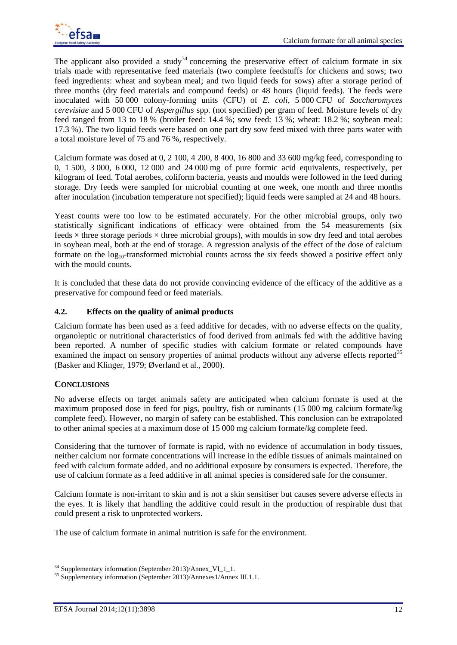The applicant also provided a study<sup>34</sup> concerning the preservative effect of calcium formate in six trials made with representative feed materials (two complete feedstuffs for chickens and sows; two feed ingredients: wheat and soybean meal; and two liquid feeds for sows) after a storage period of three months (dry feed materials and compound feeds) or 48 hours (liquid feeds). The feeds were inoculated with 50 000 colony-forming units (CFU) of *E. coli*, 5 000 CFU of *Saccharomyces cerevisiae* and 5 000 CFU of *Aspergillus* spp. (not specified) per gram of feed. Moisture levels of dry feed ranged from 13 to 18 % (broiler feed: 14.4 %; sow feed: 13 %; wheat: 18.2 %; soybean meal: 17.3 %). The two liquid feeds were based on one part dry sow feed mixed with three parts water with a total moisture level of 75 and 76 %, respectively.

Calcium formate was dosed at 0, 2 100, 4 200, 8 400, 16 800 and 33 600 mg/kg feed, corresponding to 0, 1 500, 3 000, 6 000, 12 000 and 24 000 mg of pure formic acid equivalents, respectively, per kilogram of feed. Total aerobes, coliform bacteria, yeasts and moulds were followed in the feed during storage. Dry feeds were sampled for microbial counting at one week, one month and three months after inoculation (incubation temperature not specified); liquid feeds were sampled at 24 and 48 hours.

Yeast counts were too low to be estimated accurately. For the other microbial groups, only two statistically significant indications of efficacy were obtained from the 54 measurements (six feeds  $\times$  three storage periods  $\times$  three microbial groups), with moulds in sow dry feed and total aerobes in soybean meal, both at the end of storage. A regression analysis of the effect of the dose of calcium formate on the  $log_{10}$ -transformed microbial counts across the six feeds showed a positive effect only with the mould counts.

It is concluded that these data do not provide convincing evidence of the efficacy of the additive as a preservative for compound feed or feed materials.

#### <span id="page-11-0"></span>**4.2. Effects on the quality of animal products**

Calcium formate has been used as a feed additive for decades, with no adverse effects on the quality, organoleptic or nutritional characteristics of food derived from animals fed with the additive having been reported. A number of specific studies with calcium formate or related compounds have examined the impact on sensory properties of animal products without any adverse effects reported<sup>35</sup> (Basker and Klinger, 1979; Øverland et al., 2000).

# <span id="page-11-1"></span>**CONCLUSIONS**

No adverse effects on target animals safety are anticipated when calcium formate is used at the maximum proposed dose in feed for pigs, poultry, fish or ruminants (15 000 mg calcium formate/kg complete feed). However, no margin of safety can be established. This conclusion can be extrapolated to other animal species at a maximum dose of 15 000 mg calcium formate/kg complete feed.

Considering that the turnover of formate is rapid, with no evidence of accumulation in body tissues, neither calcium nor formate concentrations will increase in the edible tissues of animals maintained on feed with calcium formate added, and no additional exposure by consumers is expected. Therefore, the use of calcium formate as a feed additive in all animal species is considered safe for the consumer.

Calcium formate is non-irritant to skin and is not a skin sensitiser but causes severe adverse effects in the eyes. It is likely that handling the additive could result in the production of respirable dust that could present a risk to unprotected workers.

The use of calcium formate in animal nutrition is safe for the environment.

<sup>&</sup>lt;sup>34</sup> Supplementary information (September 2013)/Annex\_VI\_1\_1.

<sup>35</sup> Supplementary information (September 2013)/Annexes1/Annex III.1.1.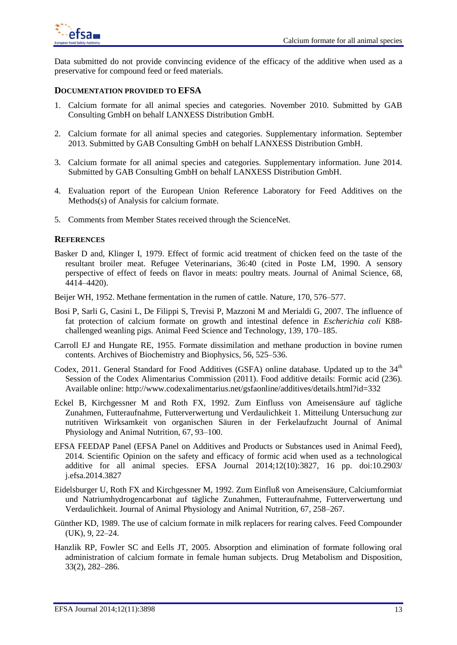

Data submitted do not provide convincing evidence of the efficacy of the additive when used as a preservative for compound feed or feed materials.

#### <span id="page-12-0"></span>**DOCUMENTATION PROVIDED TO EFSA**

- 1. Calcium formate for all animal species and categories. November 2010. Submitted by GAB Consulting GmbH on behalf LANXESS Distribution GmbH.
- 2. Calcium formate for all animal species and categories. Supplementary information. September 2013. Submitted by GAB Consulting GmbH on behalf LANXESS Distribution GmbH.
- 3. Calcium formate for all animal species and categories. Supplementary information. June 2014. Submitted by GAB Consulting GmbH on behalf LANXESS Distribution GmbH.
- 4. Evaluation report of the European Union Reference Laboratory for Feed Additives on the Methods(s) of Analysis for calcium formate.
- 5. Comments from Member States received through the ScienceNet.

#### <span id="page-12-1"></span>**REFERENCES**

- Basker D and, Klinger I, 1979. Effect of formic acid treatment of chicken feed on the taste of the resultant broiler meat. Refugee Veterinarians, 36:40 (cited in Poste LM, 1990. A sensory perspective of effect of feeds on flavor in meats: poultry meats. Journal of Animal Science, 68, 4414–4420).
- Beijer WH, 1952. Methane fermentation in the rumen of cattle. Nature*,* 170, 576–577.
- Bosi P, Sarli G, Casini L, De Filippi S, Trevisi P, Mazzoni M and Merialdi G, 2007. The influence of fat protection of calcium formate on growth and intestinal defence in *Escherichia coli* K88 challenged weanling pigs. Animal Feed Science and Technology, 139, 170–185.
- Carroll EJ and Hungate RE, 1955. Formate dissimilation and methane production in bovine rumen contents. Archives of Biochemistry and Biophysics, 56, 525–536.
- Codex, 2011. General Standard for Food Additives (GSFA) online database. Updated up to the 34<sup>th</sup> Session of the Codex Alimentarius Commission (2011). Food additive details: Formic acid (236). Available online:<http://www.codexalimentarius.net/gsfaonline/additives/details.html?id=332>
- Eckel B, Kirchgessner M and Roth FX, 1992. Zum Einfluss von Ameisensäure auf tägliche Zunahmen, Futteraufnahme, Futterverwertung und Verdaulichkeit 1. Mitteilung Untersuchung zur nutritiven Wirksamkeit von organischen Säuren in der Ferkelaufzucht Journal of Animal Physiology and Animal Nutrition, 67, 93–100.
- EFSA FEEDAP Panel (EFSA Panel on Additives and Products or Substances used in Animal Feed), 2014. Scientific Opinion on the safety and efficacy of formic acid when used as a technological additive for all animal species. EFSA Journal 2014;12(10):3827, 16 pp. doi:10.2903/ j.efsa.2014.3827
- Eidelsburger U, Roth FX and Kirchgessner M, 1992. Zum Einfluß von Ameisensäure, Calciumformiat und Natriumhydrogencarbonat auf tägliche Zunahmen, Futteraufnahme, Futterverwertung und Verdaulichkeit. Journal of Animal Physiology and Animal Nutrition, 67, 258–267.
- Günther KD, 1989. The use of calcium formate in milk replacers for rearing calves. Feed Compounder (UK), 9, 22–24.
- [Hanzlik](http://dmd.aspetjournals.org/search?author1=Robert+P.+Hanzlik&sortspec=date&submit=Submit) RP, Fowler SC and Eells JT, 2005. Absorption and elimination of formate following oral administration of calcium formate in female human subjects. Drug Metabolism and Disposition, 33(2), 282–286.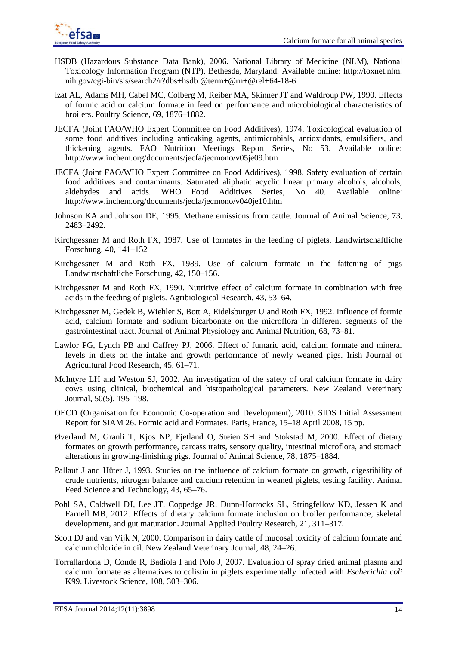

- HSDB (Hazardous Substance Data Bank), 2006. National Library of Medicine (NLM), National Toxicology Information Program (NTP), Bethesda, Maryland. Available online: http://toxnet.nlm. nih.gov/cgi-bin/sis/search2/r?dbs+hsdb:@term+@rn+@rel+64-18-6
- Izat AL, Adams MH, Cabel MC, Colberg M, Reiber MA, Skinner JT and Waldroup PW, 1990. Effects of formic acid or calcium formate in feed on performance and microbiological characteristics of broilers. Poultry Science, 69, 1876–1882.
- JECFA (Joint FAO/WHO Expert Committee on Food Additives), 1974. Toxicological evaluation of some food additives including anticaking agents, antimicrobials, antioxidants, emulsifiers, and thickening agents. FAO Nutrition Meetings Report Series, No 53. Available online: <http://www.inchem.org/documents/jecfa/jecmono/v05je09.htm>
- JECFA (Joint FAO/WHO Expert Committee on Food Additives), 1998. Safety evaluation of certain food additives and contaminants. Saturated aliphatic acyclic linear primary alcohols, alcohols, aldehydes and acids. WHO Food Additives Series, No 40. Available online: <http://www.inchem.org/documents/jecfa/jecmono/v040je10.htm>
- Johnson KA and Johnson DE, 1995. Methane emissions from cattle. Journal of Animal Science, 73, 2483–2492.
- Kirchgessner M and Roth FX, 1987. Use of formates in the feeding of piglets. Landwirtschaftliche Forschung, 40, 141–152
- Kirchgessner M and Roth FX, 1989. Use of calcium formate in the fattening of pigs Landwirtschaftliche Forschung, 42, 150–156.
- Kirchgessner M and Roth FX, 1990. Nutritive effect of calcium formate in combination with free acids in the feeding of piglets. Agribiological Research, 43, 53–64.
- Kirchgessner M, Gedek B, Wiehler S, Bott A, Eidelsburger U and Roth FX, 1992. Influence of formic acid, calcium formate and sodium bicarbonate on the microflora in different segments of the gastrointestinal tract. Journal of Animal Physiology and Animal Nutrition, 68, 73–81.
- Lawlor PG, Lynch PB and Caffrey PJ, 2006. Effect of fumaric acid, calcium formate and mineral levels in diets on the intake and growth performance of newly weaned pigs. Irish Journal of Agricultural Food Research, 45, 61–71.
- McIntyre LH and Weston SJ, 2002. An investigation of the safety of oral calcium formate in dairy cows using clinical, biochemical and histopathological parameters. New Zealand Veterinary Journal, 50(5), 195–198.
- OECD (Organisation for Economic Co-operation and Development), 2010. SIDS Initial Assessment Report for SIAM 26. Formic acid and Formates. Paris, France, 15–18 April 2008, 15 pp.
- Øverland M, Granli T, Kjos NP, Fjetland O, Steien SH and Stokstad M, 2000. Effect of dietary formates on growth performance, carcass traits, sensory quality, intestinal microflora, and stomach alterations in growing-finishing pigs. Journal of Animal Science, 78, 1875–1884.
- Pallauf J and Hüter J, 1993. Studies on the influence of calcium formate on growth, digestibility of crude nutrients, nitrogen balance and calcium retention in weaned piglets, testing facility. Animal Feed Science and Technology, 43, 65–76.
- Pohl SA, Caldwell DJ, Lee JT, Coppedge JR, Dunn-Horrocks SL, Stringfellow KD, Jessen K and Farnell MB, 2012. Effects of dietary calcium formate inclusion on broiler performance, skeletal development, and gut maturation. Journal Applied Poultry Research, 21, 311–317.
- Scott DJ and van Vijk N, 2000. Comparison in dairy cattle of mucosal toxicity of calcium formate and calcium chloride in oil. New Zealand Veterinary Journal, 48, 24–26.
- Torrallardona D, Conde R, Badiola I and Polo J, 2007. Evaluation of spray dried animal plasma and calcium formate as alternatives to colistin in piglets experimentally infected with *Escherichia coli* K99. Livestock Science, 108, 303–306.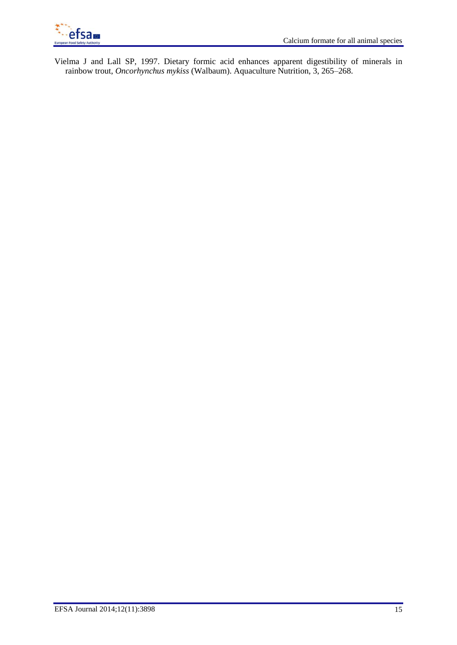

Vielma J and Lall SP, 1997. Dietary formic acid enhances apparent digestibility of minerals in rainbow trout, *Oncorhynchus mykiss* (Walbaum). Aquaculture Nutrition, 3, 265–268.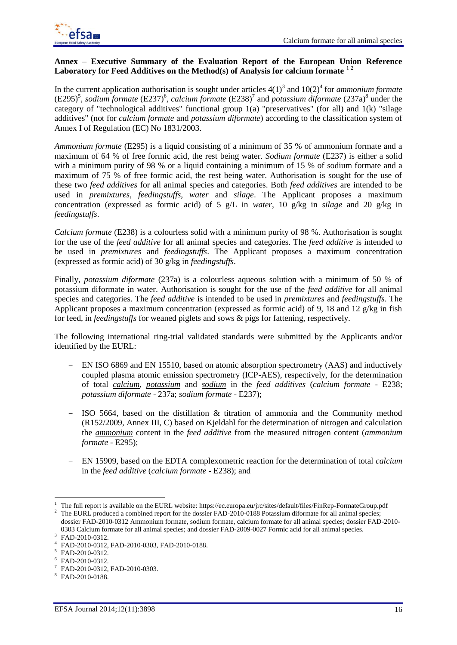

#### <span id="page-15-0"></span>**Annex – Executive Summary of the Evaluation Report of the European Union Reference**  Laboratory for Feed Additives on the Method(s) of Analysis for calcium formate <sup>12</sup>

In the current application authorisation is sought under articles  $4(1)^3$  and  $10(2)^4$  for *ammonium formate*  $(E295)^5$ , *sodium formate*  $(E237)^6$ , *calcium formate*  $(E238)^7$  and *potassium diformate*  $(237a)^8$  under the category of "technological additives" functional group  $1(a)$  "preservatives" (for all) and  $1(k)$  "silage additives" (not for *calcium formate* and *potassium diformate*) according to the classification system of Annex I of Regulation (EC) No 1831/2003.

*Ammonium formate* (E295) is a liquid consisting of a minimum of 35 % of ammonium formate and a maximum of 64 % of free formic acid, the rest being water. *Sodium formate* (E237) is either a solid with a minimum purity of 98 % or a liquid containing a minimum of 15 % of sodium formate and a maximum of 75 % of free formic acid, the rest being water. Authorisation is sought for the use of these two *feed additives* for all animal species and categories. Both *feed additives* are intended to be used in *premixtures, feedingstuffs, water* and *silage*. The Applicant proposes a maximum concentration (expressed as formic acid) of 5 g/L in *water*, 10 g/kg in *silage* and 20 g/kg in *feedingstuffs*.

*Calcium formate* (E238) is a colourless solid with a minimum purity of 98 %. Authorisation is sought for the use of the *feed additive* for all animal species and categories. The *feed additive* is intended to be used in *premixtures* and *feedingstuffs*. The Applicant proposes a maximum concentration (expressed as formic acid) of 30 g/kg in *feedingstuffs*.

Finally, *potassium diformate* (237a) is a colourless aqueous solution with a minimum of 50 % of potassium diformate in water. Authorisation is sought for the use of the *feed additive* for all animal species and categories. The *feed additive* is intended to be used in *premixtures* and *feedingstuffs*. The Applicant proposes a maximum concentration (expressed as formic acid) of 9, 18 and 12 g/kg in fish for feed, in *feedingstuffs* for weaned piglets and sows & pigs for fattening, respectively.

The following international ring-trial validated standards were submitted by the Applicants and/or identified by the EURL:

- EN ISO 6869 and EN 15510, based on atomic absorption spectrometry (AAS) and inductively coupled plasma atomic emission spectrometry (ICP-AES), respectively, for the determination of total *calcium*, *potassium* and *sodium* in the *feed additives* (*calcium formate* - E238; *potassium diformate* - 237a; *sodium formate* - E237);
- ISO 5664, based on the distillation  $\&$  titration of ammonia and the Community method (R152/2009, Annex III, C) based on Kjeldahl for the determination of nitrogen and calculation the *ammonium* content in the *feed additive* from the measured nitrogen content (*ammonium formate* - E295);
- EN 15909, based on the EDTA complexometric reaction for the determination of total *calcium* in the *feed additive* (*calcium formate* - E238); and

<sup>&</sup>lt;sup>1</sup> The full report is available on the EURL website: https://ec.europa.eu/jrc/sites/default/files/FinRep-FormateGroup.pdf<br><sup>2</sup> The EURL readinged a combined generation the degries EAD 2010 0189 Detections diferente for al

<sup>2</sup> The EURL produced a combined report for the dossier FAD-2010-0188 Potassium diformate for all animal species; dossier FAD-2010-0312 Ammonium formate, sodium formate, calcium formate for all animal species; dossier FAD-2010- 0303 Calcium formate for all animal species; and dossier FAD-2009-0027 Formic acid for all animal species.

<sup>&</sup>lt;sup>3</sup> FAD-2010-0312.

<sup>4</sup> FAD-2010-0312, FAD-2010-0303, FAD-2010-0188.

<sup>&</sup>lt;sup>5</sup> FAD-2010-0312.

<sup>6</sup> FAD-2010-0312.

<sup>7</sup> FAD-2010-0312, FAD-2010-0303.

<sup>8</sup> FAD-2010-0188.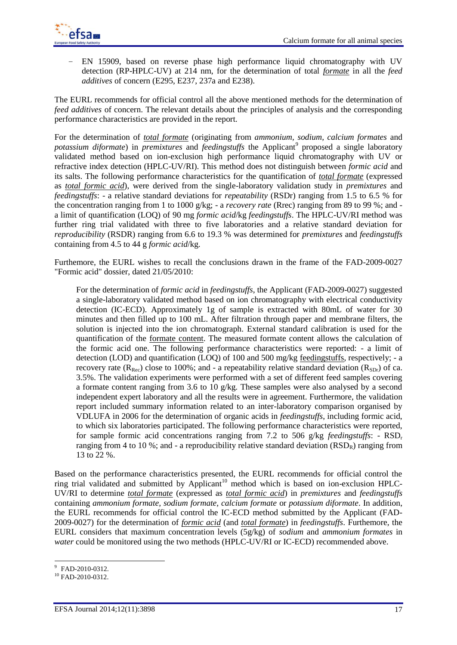

– EN 15909, based on reverse phase high performance liquid chromatography with UV detection (RP-HPLC-UV) at 214 nm, for the determination of total *formate* in all the *feed additives* of concern (E295, E237, 237a and E238).

The EURL recommends for official control all the above mentioned methods for the determination of *feed additives* of concern. The relevant details about the principles of analysis and the corresponding performance characteristics are provided in the report.

For the determination of *total formate* (originating from *ammonium, sodium, calcium formates* and potassium diformate) in *premixtures* and *feedingstuffs* the Applicant<sup>9</sup> proposed a single laboratory validated method based on ion-exclusion high performance liquid chromatography with UV or refractive index detection (HPLC-UV/RI). This method does not distinguish between *formic acid* and its salts. The following performance characteristics for the quantification of *total formate* (expressed as *total formic acid*), were derived from the single-laboratory validation study in *premixtures* and *feedingstuffs*: - a relative standard deviations for *repeatability* (RSDr) ranging from 1.5 to 6.5 % for the concentration ranging from 1 to 1000 g/kg; - a *recovery rate* (Rrec) ranging from 89 to 99 %; and a limit of quantification (LOQ) of 90 mg *formic acid*/kg *feedingstuffs*. The HPLC-UV/RI method was further ring trial validated with three to five laboratories and a relative standard deviation for *reproducibility* (RSDR) ranging from 6.6 to 19.3 % was determined for *premixtures* and *feedingstuffs* containing from 4.5 to 44 g *formic acid*/kg.

Furthemore, the EURL wishes to recall the conclusions drawn in the frame of the FAD-2009-0027 "Formic acid" dossier, dated 21/05/2010:

For the determination of *formic acid* in *feedingstuffs*, the Applicant (FAD-2009-0027) suggested a single-laboratory validated method based on ion chromatography with electrical conductivity detection (IC-ECD). Approximately 1g of sample is extracted with 80mL of water for 30 minutes and then filled up to 100 mL. After filtration through paper and membrane filters, the solution is injected into the ion chromatograph. External standard calibration is used for the quantification of the formate content. The measured formate content allows the calculation of the formic acid one. The following performance characteristics were reported: - a limit of detection (LOD) and quantification (LOQ) of 100 and 500 mg/kg feedingstuffs, respectively; - a recovery rate ( $R_{\text{Rec}}$ ) close to 100%; and - a repeatability relative standard deviation ( $R_{\text{SDP}}$ ) of ca. 3.5%. The validation experiments were performed with a set of different feed samples covering a formate content ranging from 3.6 to 10 g/kg. These samples were also analysed by a second independent expert laboratory and all the results were in agreement. Furthermore, the validation report included summary information related to an inter-laboratory comparison organised by VDLUFA in 2006 for the determination of organic acids in *feedingstuffs*, including formic acid, to which six laboratories participated. The following performance characteristics were reported, for sample formic acid concentrations ranging from 7.2 to 506 g/kg *feedingstuffs*: - RSD<sub>r</sub> ranging from 4 to 10 %; and - a reproducibility relative standard deviation  $(RSD<sub>R</sub>)$  ranging from 13 to 22 %.

Based on the performance characteristics presented, the EURL recommends for official control the ring trial validated and submitted by Applicant<sup>10</sup> method which is based on ion-exclusion HPLC-UV/RI to determine *total formate* (expressed as *total formic acid*) in *premixtures* and *feedingstuffs* containing *ammonium formate, sodium formate, calcium formate* or *potassium diformate*. In addition, the EURL recommends for official control the IC-ECD method submitted by the Applicant (FAD-2009-0027) for the determination of *formic acid* (and *total formate*) in *feedingstuffs*. Furthemore, the EURL considers that maximum concentration levels (5g/kg) of *sodium* and *ammonium formates* in *water* could be monitored using the two methods (HPLC-UV/RI or IC-ECD) recommended above.

<sup>&</sup>lt;sup>9</sup> FAD-2010-0312.

<sup>10</sup> FAD-2010-0312.